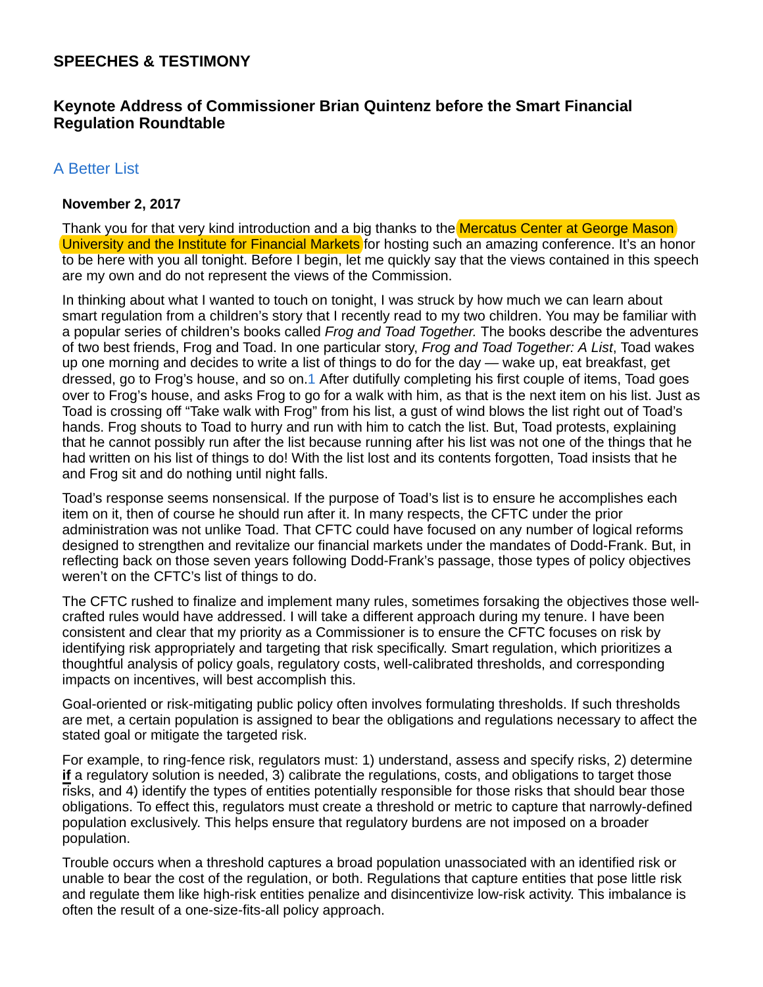# **SPEECHES & TESTIMONY**

# **Keynote Address of Commissioner Brian Quintenz before the Smart Financial Regulation Roundtable**

## A Better List

#### **November 2, 2017**

Thank you for that very kind introduction and a big thanks to the Mercatus Center at George Mason University and the Institute for Financial Markets for hosting such an amazing conference. It's an honor to be here with you all tonight. Before I begin, let me quickly say that the views contained in this speech are my own and do not represent the views of the Commission.

In thinking about what I wanted to touch on tonight, I was struck by how much we can learn about smart regulation from a children's story that I recently read to my two children. You may be familiar with a popular series of children's books called *Frog and Toad Together.* The books describe the adventures of two best friends, Frog and Toad. In one particular story, *Frog and Toad Together: A List*, Toad wakes up one morning and decides to write a list of things to do for the day *—* wake up, eat breakfast, get dressed, go to Frog's house, and so on.1 After dutifully completing his first couple of items, Toad goes over to Frog's house, and asks Frog to go for a walk with him, as that is the next item on his list. Just as Toad is crossing off "Take walk with Frog" from his list, a gust of wind blows the list right out of Toad's hands. Frog shouts to Toad to hurry and run with him to catch the list. But, Toad protests, explaining that he cannot possibly run after the list because running after his list was not one of the things that he had written on his list of things to do! With the list lost and its contents forgotten, Toad insists that he and Frog sit and do nothing until night falls.

Toad's response seems nonsensical. If the purpose of Toad's list is to ensure he accomplishes each item on it, then of course he should run after it. In many respects, the CFTC under the prior administration was not unlike Toad. That CFTC could have focused on any number of logical reforms designed to strengthen and revitalize our financial markets under the mandates of Dodd-Frank. But, in reflecting back on those seven years following Dodd-Frank's passage, those types of policy objectives weren't on the CFTC's list of things to do.

The CFTC rushed to finalize and implement many rules, sometimes forsaking the objectives those wellcrafted rules would have addressed. I will take a different approach during my tenure. I have been consistent and clear that my priority as a Commissioner is to ensure the CFTC focuses on risk by identifying risk appropriately and targeting that risk specifically. Smart regulation, which prioritizes a thoughtful analysis of policy goals, regulatory costs, well-calibrated thresholds, and corresponding impacts on incentives, will best accomplish this.

Goal-oriented or risk-mitigating public policy often involves formulating thresholds. If such thresholds are met, a certain population is assigned to bear the obligations and regulations necessary to affect the stated goal or mitigate the targeted risk.

For example, to ring-fence risk, regulators must: 1) understand, assess and specify risks, 2) determine **if** a regulatory solution is needed, 3) calibrate the regulations, costs, and obligations to target those risks, and 4) identify the types of entities potentially responsible for those risks that should bear those obligations. To effect this, regulators must create a threshold or metric to capture that narrowly-defined population exclusively. This helps ensure that regulatory burdens are not imposed on a broader population.

Trouble occurs when a threshold captures a broad population unassociated with an identified risk or unable to bear the cost of the regulation, or both. Regulations that capture entities that pose little risk and regulate them like high-risk entities penalize and disincentivize low-risk activity. This imbalance is often the result of a one-size-fits-all policy approach.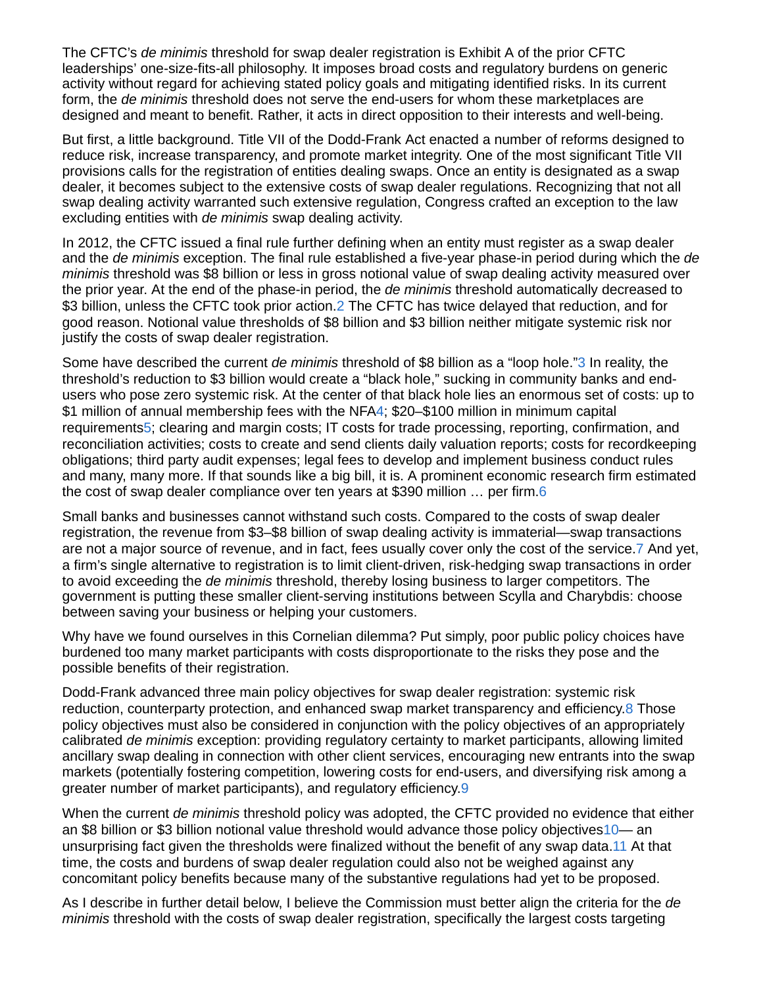The CFTC's *de minimis* threshold for swap dealer registration is Exhibit A of the prior CFTC leaderships' one-size-fits-all philosophy. It imposes broad costs and regulatory burdens on generic activity without regard for achieving stated policy goals and mitigating identified risks. In its current form, the *de minimis* threshold does not serve the end-users for whom these marketplaces are designed and meant to benefit. Rather, it acts in direct opposition to their interests and well-being.

But first, a little background. Title VII of the Dodd-Frank Act enacted a number of reforms designed to reduce risk, increase transparency, and promote market integrity. One of the most significant Title VII provisions calls for the registration of entities dealing swaps. Once an entity is designated as a swap dealer, it becomes subject to the extensive costs of swap dealer regulations. Recognizing that not all swap dealing activity warranted such extensive regulation, Congress crafted an exception to the law excluding entities with *de minimis* swap dealing activity.

In 2012, the CFTC issued a final rule further defining when an entity must register as a swap dealer and the *de minimis* exception. The final rule established a five-year phase-in period during which the *de minimis* threshold was \$8 billion or less in gross notional value of swap dealing activity measured over the prior year. At the end of the phase-in period, the *de minimis* threshold automatically decreased to \$3 billion, unless the CFTC took prior action.2 The CFTC has twice delayed that reduction, and for good reason. Notional value thresholds of \$8 billion and \$3 billion neither mitigate systemic risk nor justify the costs of swap dealer registration.

Some have described the current *de minimis* threshold of \$8 billion as a "loop hole."3 In reality, the threshold's reduction to \$3 billion would create a "black hole," sucking in community banks and endusers who pose zero systemic risk. At the center of that black hole lies an enormous set of costs: up to \$1 million of annual membership fees with the NFA4; \$20–\$100 million in minimum capital requirements5; clearing and margin costs; IT costs for trade processing, reporting, confirmation, and reconciliation activities; costs to create and send clients daily valuation reports; costs for recordkeeping obligations; third party audit expenses; legal fees to develop and implement business conduct rules and many, many more. If that sounds like a big bill, it is. A prominent economic research firm estimated the cost of swap dealer compliance over ten years at \$390 million … per firm.6

Small banks and businesses cannot withstand such costs. Compared to the costs of swap dealer registration, the revenue from \$3–\$8 billion of swap dealing activity is immaterial—swap transactions are not a major source of revenue, and in fact, fees usually cover only the cost of the service.7 And yet, a firm's single alternative to registration is to limit client-driven, risk-hedging swap transactions in order to avoid exceeding the *de minimis* threshold, thereby losing business to larger competitors. The government is putting these smaller client-serving institutions between Scylla and Charybdis: choose between saving your business or helping your customers.

Why have we found ourselves in this Cornelian dilemma? Put simply, poor public policy choices have burdened too many market participants with costs disproportionate to the risks they pose and the possible benefits of their registration.

Dodd-Frank advanced three main policy objectives for swap dealer registration: systemic risk reduction, counterparty protection, and enhanced swap market transparency and efficiency.8 Those policy objectives must also be considered in conjunction with the policy objectives of an appropriately calibrated *de minimis* exception: providing regulatory certainty to market participants, allowing limited ancillary swap dealing in connection with other client services, encouraging new entrants into the swap markets (potentially fostering competition, lowering costs for end-users, and diversifying risk among a greater number of market participants), and regulatory efficiency.9

When the current *de minimis* threshold policy was adopted, the CFTC provided no evidence that either an \$8 billion or \$3 billion notional value threshold would advance those policy objectives 10— an unsurprising fact given the thresholds were finalized without the benefit of any swap data.11 At that time, the costs and burdens of swap dealer regulation could also not be weighed against any concomitant policy benefits because many of the substantive regulations had yet to be proposed.

As I describe in further detail below, I believe the Commission must better align the criteria for the *de minimis* threshold with the costs of swap dealer registration, specifically the largest costs targeting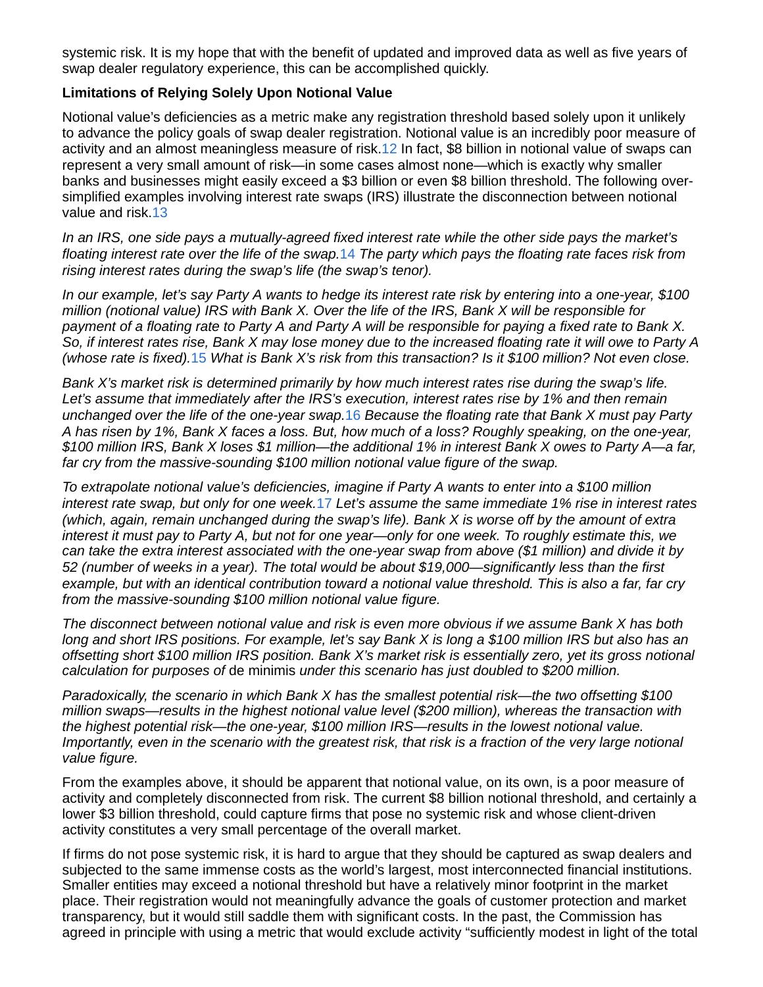systemic risk. It is my hope that with the benefit of updated and improved data as well as five years of swap dealer regulatory experience, this can be accomplished quickly.

### **Limitations of Relying Solely Upon Notional Value**

Notional value's deficiencies as a metric make any registration threshold based solely upon it unlikely to advance the policy goals of swap dealer registration. Notional value is an incredibly poor measure of activity and an almost meaningless measure of risk.12 In fact, \$8 billion in notional value of swaps can represent a very small amount of risk—in some cases almost none—which is exactly why smaller banks and businesses might easily exceed a \$3 billion or even \$8 billion threshold. The following oversimplified examples involving interest rate swaps (IRS) illustrate the disconnection between notional value and risk.13

*In an IRS, one side pays a mutually-agreed fixed interest rate while the other side pays the market's floating interest rate over the life of the swap.*14 *The party which pays the floating rate faces risk from rising interest rates during the swap's life (the swap's tenor).*

*In our example, let's say Party A wants to hedge its interest rate risk by entering into a one-year, \$100 million (notional value) IRS with Bank X. Over the life of the IRS, Bank X will be responsible for payment of a floating rate to Party A and Party A will be responsible for paying a fixed rate to Bank X. So, if interest rates rise, Bank X may lose money due to the increased floating rate it will owe to Party A (whose rate is fixed).*15 *What is Bank X's risk from this transaction? Is it \$100 million? Not even close.*

*Bank X's market risk is determined primarily by how much interest rates rise during the swap's life. Let's assume that immediately after the IRS's execution, interest rates rise by 1% and then remain unchanged over the life of the one-year swap.*16 *Because the floating rate that Bank X must pay Party A has risen by 1%, Bank X faces a loss. But, how much of a loss? Roughly speaking, on the one-year, \$100 million IRS, Bank X loses \$1 million—the additional 1% in interest Bank X owes to Party A—a far, far cry from the massive-sounding \$100 million notional value figure of the swap.*

*To extrapolate notional value's deficiencies, imagine if Party A wants to enter into a \$100 million interest rate swap, but only for one week.*17 *Let's assume the same immediate 1% rise in interest rates (which, again, remain unchanged during the swap's life). Bank X is worse off by the amount of extra interest it must pay to Party A, but not for one year—only for one week. To roughly estimate this, we can take the extra interest associated with the one-year swap from above (\$1 million) and divide it by 52 (number of weeks in a year). The total would be about \$19,000—significantly less than the first example, but with an identical contribution toward a notional value threshold. This is also a far, far cry from the massive-sounding \$100 million notional value figure.*

*The disconnect between notional value and risk is even more obvious if we assume Bank X has both long and short IRS positions. For example, let's say Bank X is long a \$100 million IRS but also has an offsetting short \$100 million IRS position. Bank X's market risk is essentially zero, yet its gross notional calculation for purposes of* de minimis *under this scenario has just doubled to \$200 million.*

*Paradoxically, the scenario in which Bank X has the smallest potential risk—the two offsetting \$100 million swaps—results in the highest notional value level (\$200 million), whereas the transaction with the highest potential risk—the one-year, \$100 million IRS—results in the lowest notional value. Importantly, even in the scenario with the greatest risk, that risk is a fraction of the very large notional value figure.*

From the examples above, it should be apparent that notional value, on its own, is a poor measure of activity and completely disconnected from risk. The current \$8 billion notional threshold, and certainly a lower \$3 billion threshold, could capture firms that pose no systemic risk and whose client-driven activity constitutes a very small percentage of the overall market.

If firms do not pose systemic risk, it is hard to argue that they should be captured as swap dealers and subjected to the same immense costs as the world's largest, most interconnected financial institutions. Smaller entities may exceed a notional threshold but have a relatively minor footprint in the market place. Their registration would not meaningfully advance the goals of customer protection and market transparency, but it would still saddle them with significant costs. In the past, the Commission has agreed in principle with using a metric that would exclude activity "sufficiently modest in light of the total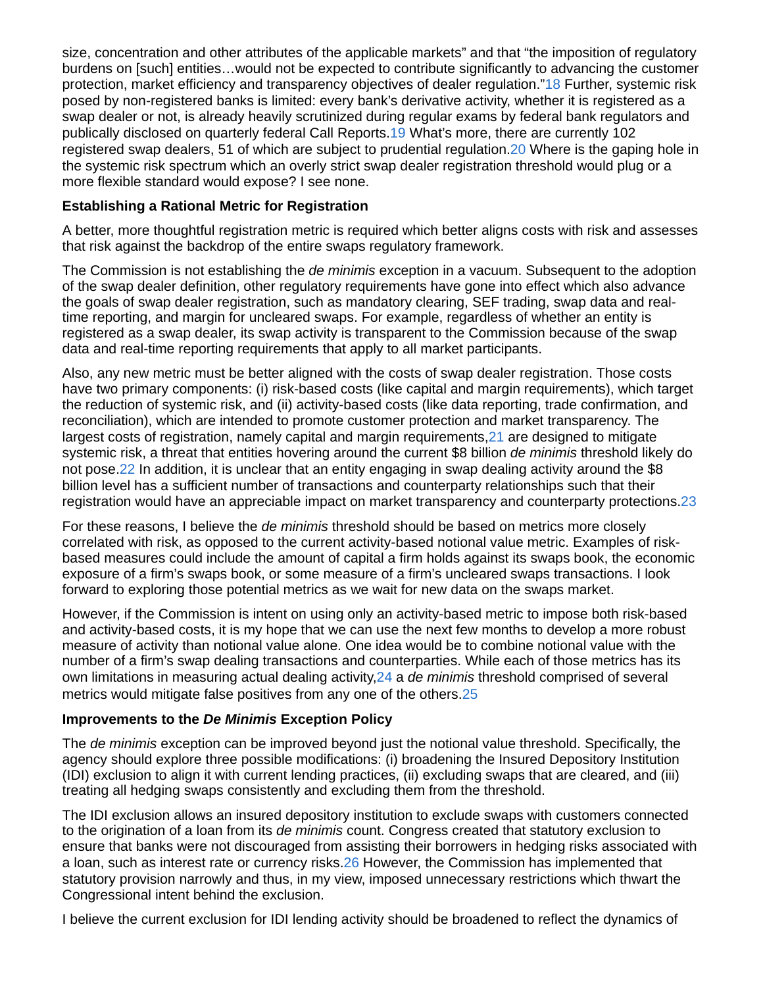size, concentration and other attributes of the applicable markets" and that "the imposition of regulatory burdens on [such] entities…would not be expected to contribute significantly to advancing the customer protection, market efficiency and transparency objectives of dealer regulation."18 Further, systemic risk posed by non-registered banks is limited: every bank's derivative activity, whether it is registered as a swap dealer or not, is already heavily scrutinized during regular exams by federal bank regulators and publically disclosed on quarterly federal Call Reports.19 What's more, there are currently 102 registered swap dealers, 51 of which are subject to prudential regulation.20 Where is the gaping hole in the systemic risk spectrum which an overly strict swap dealer registration threshold would plug or a more flexible standard would expose? I see none.

### **Establishing a Rational Metric for Registration**

A better, more thoughtful registration metric is required which better aligns costs with risk and assesses that risk against the backdrop of the entire swaps regulatory framework.

The Commission is not establishing the *de minimis* exception in a vacuum. Subsequent to the adoption of the swap dealer definition, other regulatory requirements have gone into effect which also advance the goals of swap dealer registration, such as mandatory clearing, SEF trading, swap data and realtime reporting, and margin for uncleared swaps. For example, regardless of whether an entity is registered as a swap dealer, its swap activity is transparent to the Commission because of the swap data and real-time reporting requirements that apply to all market participants.

Also, any new metric must be better aligned with the costs of swap dealer registration. Those costs have two primary components: (i) risk-based costs (like capital and margin requirements), which target the reduction of systemic risk, and (ii) activity-based costs (like data reporting, trade confirmation, and reconciliation), which are intended to promote customer protection and market transparency. The largest costs of registration, namely capital and margin requirements,21 are designed to mitigate systemic risk, a threat that entities hovering around the current \$8 billion *de minimis* threshold likely do not pose.22 In addition, it is unclear that an entity engaging in swap dealing activity around the \$8 billion level has a sufficient number of transactions and counterparty relationships such that their registration would have an appreciable impact on market transparency and counterparty protections.23

For these reasons, I believe the *de minimis* threshold should be based on metrics more closely correlated with risk, as opposed to the current activity-based notional value metric. Examples of riskbased measures could include the amount of capital a firm holds against its swaps book, the economic exposure of a firm's swaps book, or some measure of a firm's uncleared swaps transactions. I look forward to exploring those potential metrics as we wait for new data on the swaps market.

However, if the Commission is intent on using only an activity-based metric to impose both risk-based and activity-based costs, it is my hope that we can use the next few months to develop a more robust measure of activity than notional value alone. One idea would be to combine notional value with the number of a firm's swap dealing transactions and counterparties. While each of those metrics has its own limitations in measuring actual dealing activity,24 a *de minimis* threshold comprised of several metrics would mitigate false positives from any one of the others.25

#### **Improvements to the** *De Minimis* **Exception Policy**

The *de minimis* exception can be improved beyond just the notional value threshold. Specifically, the agency should explore three possible modifications: (i) broadening the Insured Depository Institution (IDI) exclusion to align it with current lending practices, (ii) excluding swaps that are cleared, and (iii) treating all hedging swaps consistently and excluding them from the threshold.

The IDI exclusion allows an insured depository institution to exclude swaps with customers connected to the origination of a loan from its *de minimis* count. Congress created that statutory exclusion to ensure that banks were not discouraged from assisting their borrowers in hedging risks associated with a loan, such as interest rate or currency risks.26 However, the Commission has implemented that statutory provision narrowly and thus, in my view, imposed unnecessary restrictions which thwart the Congressional intent behind the exclusion.

I believe the current exclusion for IDI lending activity should be broadened to reflect the dynamics of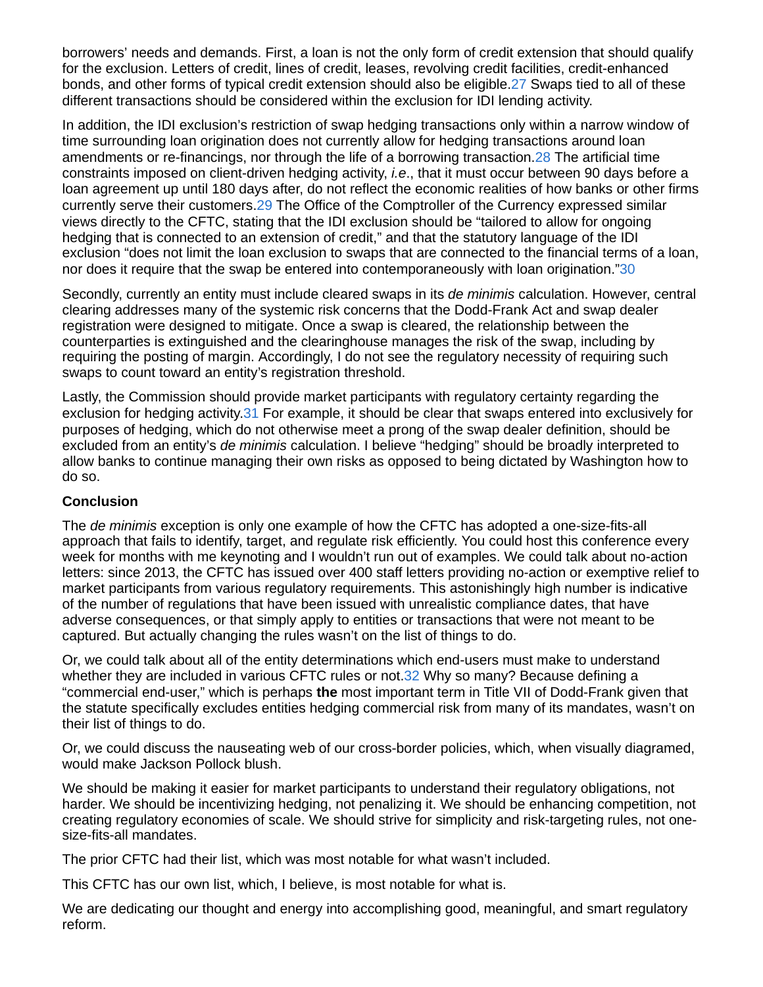borrowers' needs and demands. First, a loan is not the only form of credit extension that should qualify for the exclusion. Letters of credit, lines of credit, leases, revolving credit facilities, credit-enhanced bonds, and other forms of typical credit extension should also be eligible.27 Swaps tied to all of these different transactions should be considered within the exclusion for IDI lending activity.

In addition, the IDI exclusion's restriction of swap hedging transactions only within a narrow window of time surrounding loan origination does not currently allow for hedging transactions around loan amendments or re-financings, nor through the life of a borrowing transaction.28 The artificial time constraints imposed on client-driven hedging activity, *i.e*., that it must occur between 90 days before a loan agreement up until 180 days after, do not reflect the economic realities of how banks or other firms currently serve their customers.29 The Office of the Comptroller of the Currency expressed similar views directly to the CFTC, stating that the IDI exclusion should be "tailored to allow for ongoing hedging that is connected to an extension of credit," and that the statutory language of the IDI exclusion "does not limit the loan exclusion to swaps that are connected to the financial terms of a loan, nor does it require that the swap be entered into contemporaneously with loan origination."30

Secondly, currently an entity must include cleared swaps in its *de minimis* calculation. However, central clearing addresses many of the systemic risk concerns that the Dodd-Frank Act and swap dealer registration were designed to mitigate. Once a swap is cleared, the relationship between the counterparties is extinguished and the clearinghouse manages the risk of the swap, including by requiring the posting of margin. Accordingly, I do not see the regulatory necessity of requiring such swaps to count toward an entity's registration threshold.

Lastly, the Commission should provide market participants with regulatory certainty regarding the exclusion for hedging activity.31 For example, it should be clear that swaps entered into exclusively for purposes of hedging, which do not otherwise meet a prong of the swap dealer definition, should be excluded from an entity's *de minimis* calculation. I believe "hedging" should be broadly interpreted to allow banks to continue managing their own risks as opposed to being dictated by Washington how to do so.

### **Conclusion**

The *de minimis* exception is only one example of how the CFTC has adopted a one-size-fits-all approach that fails to identify, target, and regulate risk efficiently. You could host this conference every week for months with me keynoting and I wouldn't run out of examples. We could talk about no-action letters: since 2013, the CFTC has issued over 400 staff letters providing no-action or exemptive relief to market participants from various regulatory requirements. This astonishingly high number is indicative of the number of regulations that have been issued with unrealistic compliance dates, that have adverse consequences, or that simply apply to entities or transactions that were not meant to be captured. But actually changing the rules wasn't on the list of things to do.

Or, we could talk about all of the entity determinations which end-users must make to understand whether they are included in various CFTC rules or not.32 Why so many? Because defining a "commercial end-user," which is perhaps **the** most important term in Title VII of Dodd-Frank given that the statute specifically excludes entities hedging commercial risk from many of its mandates, wasn't on their list of things to do.

Or, we could discuss the nauseating web of our cross-border policies, which, when visually diagramed, would make Jackson Pollock blush.

We should be making it easier for market participants to understand their regulatory obligations, not harder. We should be incentivizing hedging, not penalizing it. We should be enhancing competition, not creating regulatory economies of scale. We should strive for simplicity and risk-targeting rules, not onesize-fits-all mandates.

The prior CFTC had their list, which was most notable for what wasn't included.

This CFTC has our own list, which, I believe, is most notable for what is.

We are dedicating our thought and energy into accomplishing good, meaningful, and smart regulatory reform.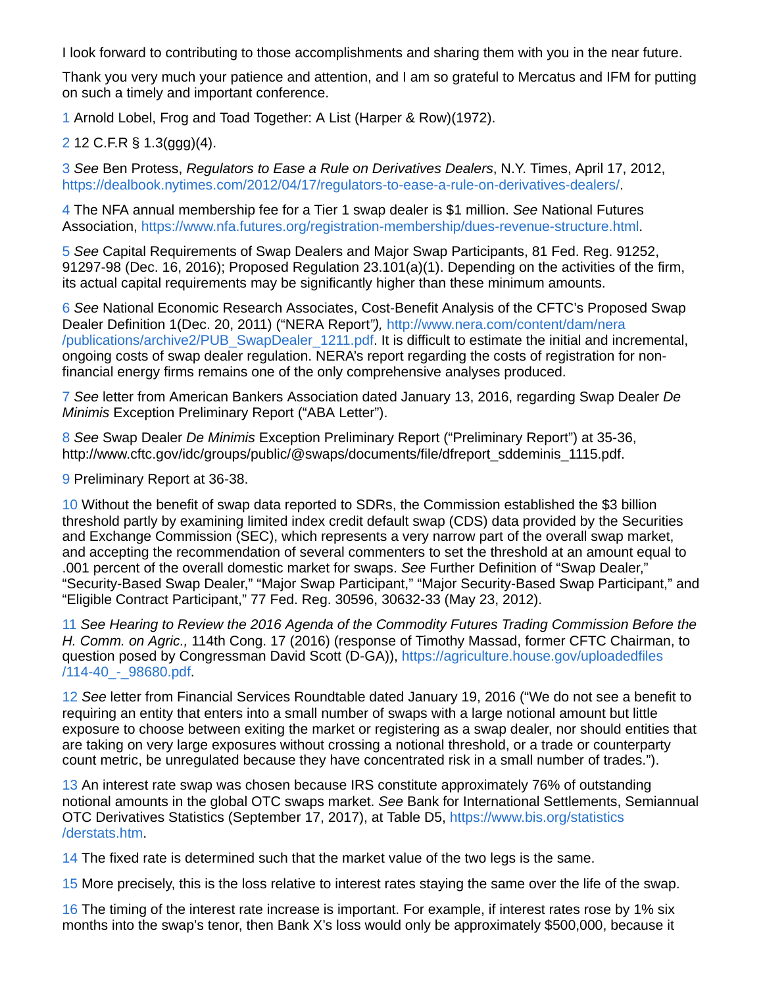I look forward to contributing to those accomplishments and sharing them with you in the near future.

Thank you very much your patience and attention, and I am so grateful to Mercatus and IFM for putting on such a timely and important conference.

1 Arnold Lobel, Frog and Toad Together: A List (Harper & Row)(1972).

2 12 C.F.R § 1.3(ggg)(4).

3 *See* Ben Protess, *Regulators to Ease a Rule on Derivatives Dealers*, N.Y. Times, April 17, 2012, https://dealbook.nytimes.com/2012/04/17/regulators-to-ease-a-rule-on-derivatives-dealers/.

4 The NFA annual membership fee for a Tier 1 swap dealer is \$1 million. *See* National Futures Association, https://www.nfa.futures.org/registration-membership/dues-revenue-structure.html.

5 *See* Capital Requirements of Swap Dealers and Major Swap Participants, 81 Fed. Reg. 91252, 91297-98 (Dec. 16, 2016); Proposed Regulation 23.101(a)(1). Depending on the activities of the firm, its actual capital requirements may be significantly higher than these minimum amounts.

6 *See* National Economic Research Associates, Cost-Benefit Analysis of the CFTC's Proposed Swap Dealer Definition 1(Dec. 20, 2011) ("NERA Report*"),* http://www.nera.com/content/dam/nera /publications/archive2/PUB\_SwapDealer\_1211.pdf. It is difficult to estimate the initial and incremental, ongoing costs of swap dealer regulation. NERA's report regarding the costs of registration for nonfinancial energy firms remains one of the only comprehensive analyses produced.

7 *See* letter from American Bankers Association dated January 13, 2016, regarding Swap Dealer *De Minimis* Exception Preliminary Report ("ABA Letter").

8 *See* Swap Dealer *De Minimis* Exception Preliminary Report ("Preliminary Report") at 35-36, http://www.cftc.gov/idc/groups/public/@swaps/documents/file/dfreport\_sddeminis\_1115.pdf.

9 Preliminary Report at 36-38.

10 Without the benefit of swap data reported to SDRs, the Commission established the \$3 billion threshold partly by examining limited index credit default swap (CDS) data provided by the Securities and Exchange Commission (SEC), which represents a very narrow part of the overall swap market, and accepting the recommendation of several commenters to set the threshold at an amount equal to .001 percent of the overall domestic market for swaps. *See* Further Definition of "Swap Dealer," "Security-Based Swap Dealer," "Major Swap Participant," "Major Security-Based Swap Participant," and "Eligible Contract Participant," 77 Fed. Reg. 30596, 30632-33 (May 23, 2012).

11 *See Hearing to Review the 2016 Agenda of the Commodity Futures Trading Commission Before the H. Comm. on Agric.,* 114th Cong. 17 (2016) (response of Timothy Massad, former CFTC Chairman, to question posed by Congressman David Scott (D-GA)), https://agriculture.house.gov/uploadedfiles /114-40\_-\_98680.pdf.

12 *See* letter from Financial Services Roundtable dated January 19, 2016 ("We do not see a benefit to requiring an entity that enters into a small number of swaps with a large notional amount but little exposure to choose between exiting the market or registering as a swap dealer, nor should entities that are taking on very large exposures without crossing a notional threshold, or a trade or counterparty count metric, be unregulated because they have concentrated risk in a small number of trades.").

13 An interest rate swap was chosen because IRS constitute approximately 76% of outstanding notional amounts in the global OTC swaps market. *See* Bank for International Settlements, Semiannual OTC Derivatives Statistics (September 17, 2017), at Table D5, https://www.bis.org/statistics /derstats.htm.

14 The fixed rate is determined such that the market value of the two legs is the same.

15 More precisely, this is the loss relative to interest rates staying the same over the life of the swap.

16 The timing of the interest rate increase is important. For example, if interest rates rose by 1% six months into the swap's tenor, then Bank X's loss would only be approximately \$500,000, because it